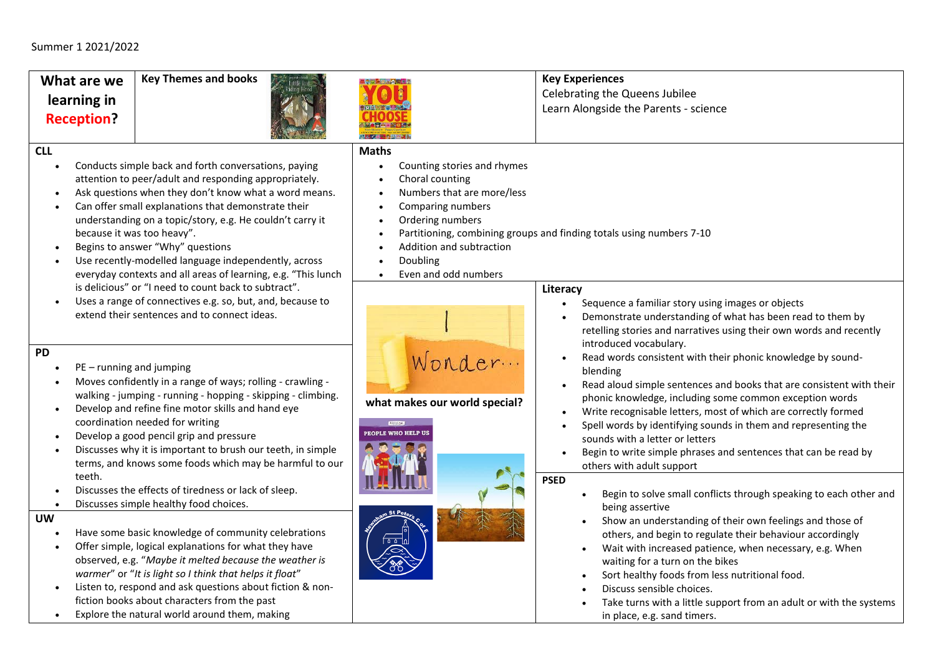## Summer 1 2021/2022

| What are we<br>learning in<br><b>Reception?</b>                                                                                                                                                                                                                                                                                                                                                                                                                                                     | <b>Key Themes and books</b>                                                                                                                                                                                                                                                                                                                                                                                                                                                                                                                                  |                                                                                                                                                                                                       | <b>Key Experiences</b><br>Celebrating the Queens Jubilee<br>Learn Alongside the Parents - science                                                                                                                                                                                                                                                                                                                                                                                                                                                                                                                                                                                                                              |
|-----------------------------------------------------------------------------------------------------------------------------------------------------------------------------------------------------------------------------------------------------------------------------------------------------------------------------------------------------------------------------------------------------------------------------------------------------------------------------------------------------|--------------------------------------------------------------------------------------------------------------------------------------------------------------------------------------------------------------------------------------------------------------------------------------------------------------------------------------------------------------------------------------------------------------------------------------------------------------------------------------------------------------------------------------------------------------|-------------------------------------------------------------------------------------------------------------------------------------------------------------------------------------------------------|--------------------------------------------------------------------------------------------------------------------------------------------------------------------------------------------------------------------------------------------------------------------------------------------------------------------------------------------------------------------------------------------------------------------------------------------------------------------------------------------------------------------------------------------------------------------------------------------------------------------------------------------------------------------------------------------------------------------------------|
| <b>CLL</b><br>Conducts simple back and forth conversations, paying<br>attention to peer/adult and responding appropriately.<br>Ask questions when they don't know what a word means.<br>Can offer small explanations that demonstrate their<br>understanding on a topic/story, e.g. He couldn't carry it<br>because it was too heavy".<br>Begins to answer "Why" questions<br>Use recently-modelled language independently, across<br>everyday contexts and all areas of learning, e.g. "This lunch |                                                                                                                                                                                                                                                                                                                                                                                                                                                                                                                                                              | <b>Maths</b><br>Counting stories and rhymes<br>Choral counting<br>Numbers that are more/less<br>Comparing numbers<br>Ordering numbers<br>Addition and subtraction<br>Doubling<br>Even and odd numbers | Partitioning, combining groups and finding totals using numbers 7-10                                                                                                                                                                                                                                                                                                                                                                                                                                                                                                                                                                                                                                                           |
| <b>PD</b><br>PE - running and jumping                                                                                                                                                                                                                                                                                                                                                                                                                                                               | is delicious" or "I need to count back to subtract".<br>Uses a range of connectives e.g. so, but, and, because to<br>extend their sentences and to connect ideas.<br>Moves confidently in a range of ways; rolling - crawling -<br>walking - jumping - running - hopping - skipping - climbing.<br>Develop and refine fine motor skills and hand eye<br>coordination needed for writing<br>Develop a good pencil grip and pressure<br>Discusses why it is important to brush our teeth, in simple<br>terms, and knows some foods which may be harmful to our | Wonder<br>what makes our world special?<br><b>PEOPLE WHO HELP U</b>                                                                                                                                   | Literacy<br>Sequence a familiar story using images or objects<br>$\bullet$<br>Demonstrate understanding of what has been read to them by<br>retelling stories and narratives using their own words and recently<br>introduced vocabulary.<br>Read words consistent with their phonic knowledge by sound-<br>blending<br>Read aloud simple sentences and books that are consistent with their<br>phonic knowledge, including some common exception words<br>Write recognisable letters, most of which are correctly formed<br>Spell words by identifying sounds in them and representing the<br>sounds with a letter or letters<br>Begin to write simple phrases and sentences that can be read by<br>others with adult support |
| teeth.<br><b>UW</b>                                                                                                                                                                                                                                                                                                                                                                                                                                                                                 | Discusses the effects of tiredness or lack of sleep.<br>Discusses simple healthy food choices.<br>Have some basic knowledge of community celebrations<br>Offer simple, logical explanations for what they have<br>observed, e.g. "Maybe it melted because the weather is<br>warmer" or "It is light so I think that helps it float"<br>Listen to, respond and ask questions about fiction & non-<br>fiction books about characters from the past<br>Explore the natural world around them, making                                                            | ۱۲ م م ا                                                                                                                                                                                              | <b>PSED</b><br>Begin to solve small conflicts through speaking to each other and<br>being assertive<br>Show an understanding of their own feelings and those of<br>others, and begin to regulate their behaviour accordingly<br>Wait with increased patience, when necessary, e.g. When<br>waiting for a turn on the bikes<br>Sort healthy foods from less nutritional food.<br>Discuss sensible choices.<br>Take turns with a little support from an adult or with the systems<br>in place, e.g. sand timers.                                                                                                                                                                                                                 |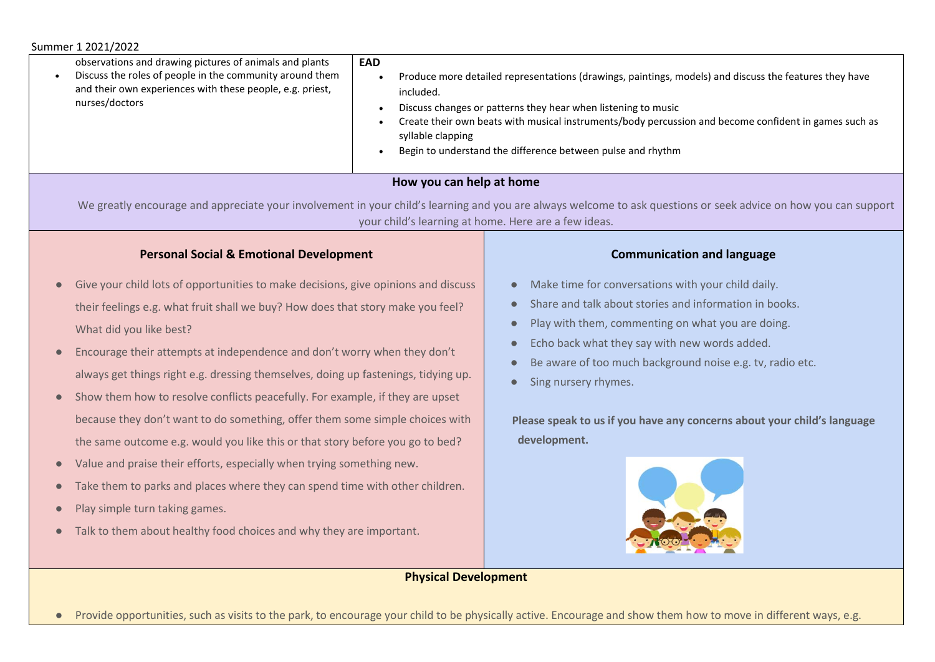| Summer 1 2021/2022                                                                                                                                                                                                                                                                                                                                                                                                                                                                                                                                                                                                                                                                                                                                                                                                                                                                                               |                                              |                                                                                                                                                                                                                                                                                                                                                                                                                              |  |  |  |
|------------------------------------------------------------------------------------------------------------------------------------------------------------------------------------------------------------------------------------------------------------------------------------------------------------------------------------------------------------------------------------------------------------------------------------------------------------------------------------------------------------------------------------------------------------------------------------------------------------------------------------------------------------------------------------------------------------------------------------------------------------------------------------------------------------------------------------------------------------------------------------------------------------------|----------------------------------------------|------------------------------------------------------------------------------------------------------------------------------------------------------------------------------------------------------------------------------------------------------------------------------------------------------------------------------------------------------------------------------------------------------------------------------|--|--|--|
| observations and drawing pictures of animals and plants<br>Discuss the roles of people in the community around them<br>$\bullet$<br>and their own experiences with these people, e.g. priest,<br>nurses/doctors                                                                                                                                                                                                                                                                                                                                                                                                                                                                                                                                                                                                                                                                                                  | <b>EAD</b><br>included.<br>syllable clapping | Produce more detailed representations (drawings, paintings, models) and discuss the features they have<br>Discuss changes or patterns they hear when listening to music<br>Create their own beats with musical instruments/body percussion and become confident in games such as<br>Begin to understand the difference between pulse and rhythm                                                                              |  |  |  |
| How you can help at home                                                                                                                                                                                                                                                                                                                                                                                                                                                                                                                                                                                                                                                                                                                                                                                                                                                                                         |                                              |                                                                                                                                                                                                                                                                                                                                                                                                                              |  |  |  |
| We greatly encourage and appreciate your involvement in your child's learning and you are always welcome to ask questions or seek advice on how you can support<br>your child's learning at home. Here are a few ideas.                                                                                                                                                                                                                                                                                                                                                                                                                                                                                                                                                                                                                                                                                          |                                              |                                                                                                                                                                                                                                                                                                                                                                                                                              |  |  |  |
| <b>Personal Social &amp; Emotional Development</b>                                                                                                                                                                                                                                                                                                                                                                                                                                                                                                                                                                                                                                                                                                                                                                                                                                                               |                                              | <b>Communication and language</b>                                                                                                                                                                                                                                                                                                                                                                                            |  |  |  |
| Give your child lots of opportunities to make decisions, give opinions and discuss<br>their feelings e.g. what fruit shall we buy? How does that story make you feel?<br>What did you like best?<br>Encourage their attempts at independence and don't worry when they don't<br>always get things right e.g. dressing themselves, doing up fastenings, tidying up.<br>Show them how to resolve conflicts peacefully. For example, if they are upset<br>$\bullet$<br>because they don't want to do something, offer them some simple choices with<br>the same outcome e.g. would you like this or that story before you go to bed?<br>Value and praise their efforts, especially when trying something new.<br>$\bullet$<br>Take them to parks and places where they can spend time with other children.<br>Play simple turn taking games.<br>Talk to them about healthy food choices and why they are important. |                                              | Make time for conversations with your child daily.<br>$\bullet$<br>Share and talk about stories and information in books.<br>Play with them, commenting on what you are doing.<br>Echo back what they say with new words added.<br>$\bullet$<br>Be aware of too much background noise e.g. tv, radio etc.<br>Sing nursery rhymes.<br>Please speak to us if you have any concerns about your child's language<br>development. |  |  |  |
| <b>Physical Development</b>                                                                                                                                                                                                                                                                                                                                                                                                                                                                                                                                                                                                                                                                                                                                                                                                                                                                                      |                                              |                                                                                                                                                                                                                                                                                                                                                                                                                              |  |  |  |
|                                                                                                                                                                                                                                                                                                                                                                                                                                                                                                                                                                                                                                                                                                                                                                                                                                                                                                                  |                                              |                                                                                                                                                                                                                                                                                                                                                                                                                              |  |  |  |

● Provide opportunities, such as visits to the park, to encourage your child to be physically active. Encourage and show them how to move in different ways, e.g.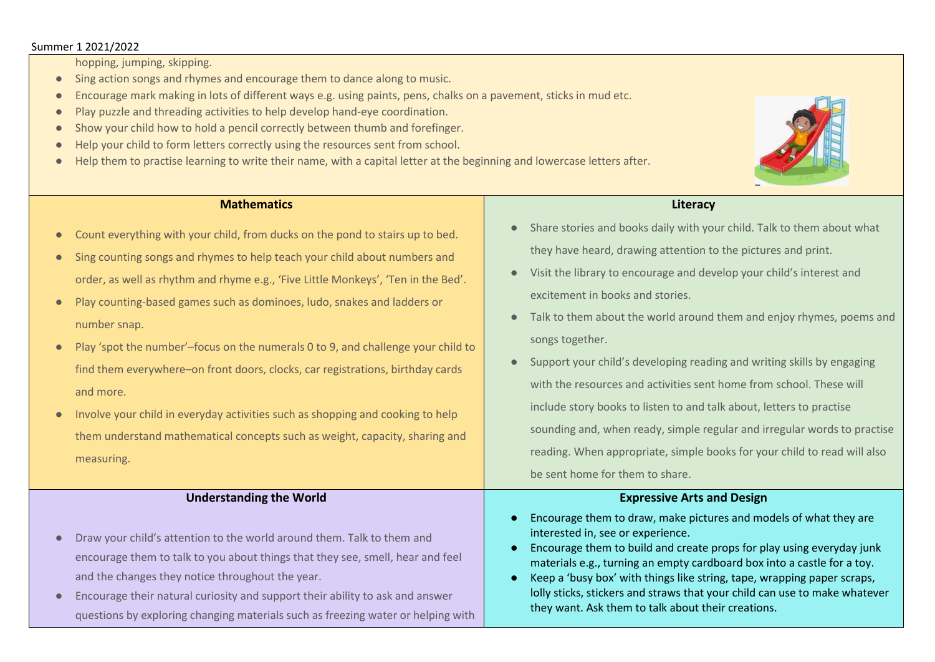#### Summer 1 2021/2022

hopping, jumping, skipping.

- Sing action songs and rhymes and encourage them to dance along to music.
- Encourage mark making in lots of different ways e.g. using paints, pens, chalks on a pavement, sticks in mud etc.
- Play puzzle and threading activities to help develop hand-eye coordination.
- Show your child how to hold a pencil correctly between thumb and forefinger.
- Help your child to form letters correctly using the resources sent from school.
- Help them to practise learning to write their name, with a capital letter at the beginning and lowercase letters after.



# **Mathematics**

- Count everything with your child, from ducks on the pond to stairs up to bed.
- Sing counting songs and rhymes to help teach your child about numbers and order, as well as rhythm and rhyme e.g., 'Five Little Monkeys', 'Ten in the Bed'.
- Play counting-based games such as dominoes, ludo, snakes and ladders or number snap.
- Play 'spot the number'–focus on the numerals 0 to 9, and challenge your child to find them everywhere–on front doors, clocks, car registrations, birthday cards and more.
- Involve your child in everyday activities such as shopping and cooking to help them understand mathematical concepts such as weight, capacity, sharing and measuring.

## **Understanding the World**

- Draw your child's attention to the world around them. Talk to them and encourage them to talk to you about things that they see, smell, hear and feel and the changes they notice throughout the year.
- Encourage their natural curiosity and support their ability to ask and answer questions by exploring changing materials such as freezing water or helping with

#### **Literacy**

- Share stories and books daily with your child. Talk to them about what they have heard, drawing attention to the pictures and print.
- Visit the library to encourage and develop your child's interest and excitement in books and stories.
- Talk to them about the world around them and enjoy rhymes, poems and songs together.
- Support your child's developing reading and writing skills by engaging with the resources and activities sent home from school. These will include story books to listen to and talk about, letters to practise sounding and, when ready, simple regular and irregular words to practise reading. When appropriate, simple books for your child to read will also be sent home for them to share.

## **Expressive Arts and Design**

- Encourage them to draw, make pictures and models of what they are interested in, see or experience.
- Encourage them to build and create props for play using everyday junk materials e.g., turning an empty cardboard box into a castle for a toy.
- Keep a 'busy box' with things like string, tape, wrapping paper scraps, lolly sticks, stickers and straws that your child can use to make whatever they want. Ask them to talk about their creations.